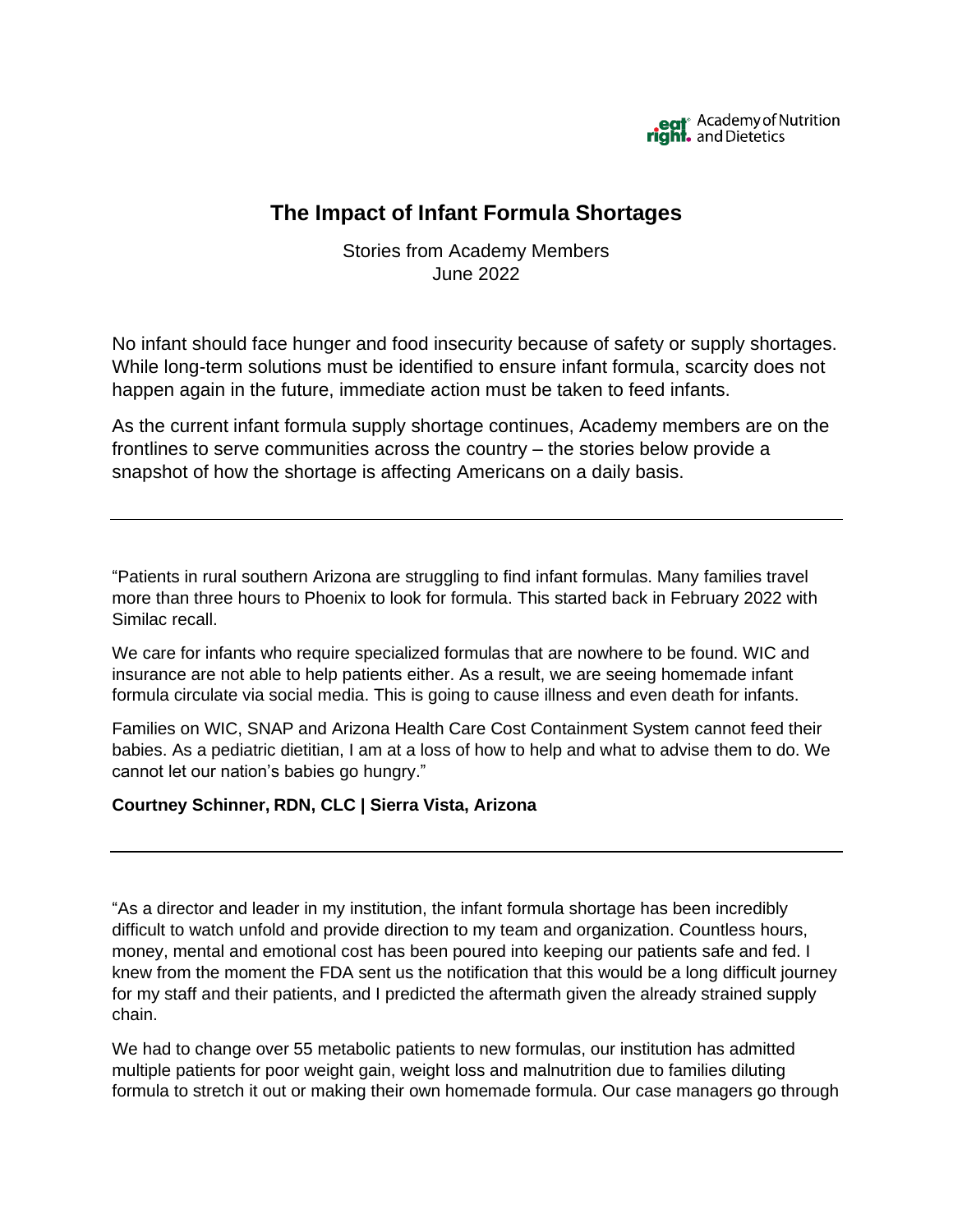

# **The Impact of Infant Formula Shortages**

Stories from Academy Members June 2022

No infant should face hunger and food insecurity because of safety or supply shortages. While long-term solutions must be identified to ensure infant formula, scarcity does not happen again in the future, immediate action must be taken to feed infants.

As the current infant formula supply shortage continues, Academy members are on the frontlines to serve communities across the country – the stories below provide a snapshot of how the shortage is affecting Americans on a daily basis.

"Patients in rural southern Arizona are struggling to find infant formulas. Many families travel more than three hours to Phoenix to look for formula. This started back in February 2022 with Similac recall.

We care for infants who require specialized formulas that are nowhere to be found. WIC and insurance are not able to help patients either. As a result, we are seeing homemade infant formula circulate via social media. This is going to cause illness and even death for infants.

Families on WIC, SNAP and Arizona Health Care Cost Containment System cannot feed their babies. As a pediatric dietitian, I am at a loss of how to help and what to advise them to do. We cannot let our nation's babies go hungry."

#### **Courtney Schinner, RDN, CLC | Sierra Vista, Arizona**

"As a director and leader in my institution, the infant formula shortage has been incredibly difficult to watch unfold and provide direction to my team and organization. Countless hours, money, mental and emotional cost has been poured into keeping our patients safe and fed. I knew from the moment the FDA sent us the notification that this would be a long difficult journey for my staff and their patients, and I predicted the aftermath given the already strained supply chain.

We had to change over 55 metabolic patients to new formulas, our institution has admitted multiple patients for poor weight gain, weight loss and malnutrition due to families diluting formula to stretch it out or making their own homemade formula. Our case managers go through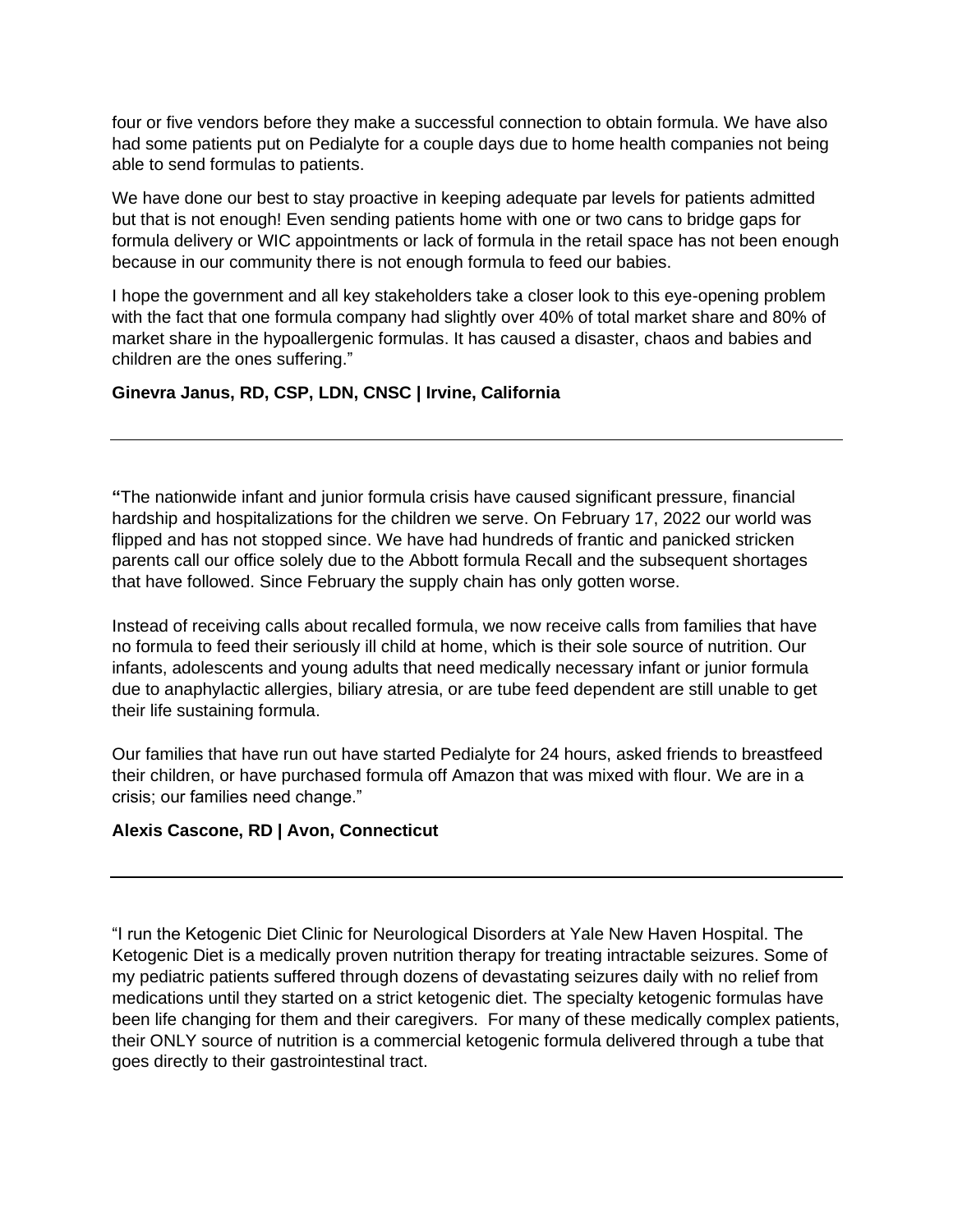four or five vendors before they make a successful connection to obtain formula. We have also had some patients put on Pedialyte for a couple days due to home health companies not being able to send formulas to patients.

We have done our best to stay proactive in keeping adequate par levels for patients admitted but that is not enough! Even sending patients home with one or two cans to bridge gaps for formula delivery or WIC appointments or lack of formula in the retail space has not been enough because in our community there is not enough formula to feed our babies.

I hope the government and all key stakeholders take a closer look to this eye-opening problem with the fact that one formula company had slightly over 40% of total market share and 80% of market share in the hypoallergenic formulas. It has caused a disaster, chaos and babies and children are the ones suffering."

## **Ginevra Janus, RD, CSP, LDN, CNSC | Irvine, California**

**"**The nationwide infant and junior formula crisis have caused significant pressure, financial hardship and hospitalizations for the children we serve. On February 17, 2022 our world was flipped and has not stopped since. We have had hundreds of frantic and panicked stricken parents call our office solely due to the Abbott formula Recall and the subsequent shortages that have followed. Since February the supply chain has only gotten worse.

Instead of receiving calls about recalled formula, we now receive calls from families that have no formula to feed their seriously ill child at home, which is their sole source of nutrition. Our infants, adolescents and young adults that need medically necessary infant or junior formula due to anaphylactic allergies, biliary atresia, or are tube feed dependent are still unable to get their life sustaining formula.

Our families that have run out have started Pedialyte for 24 hours, asked friends to breastfeed their children, or have purchased formula off Amazon that was mixed with flour. We are in a crisis; our families need change."

#### **Alexis Cascone, RD | Avon, Connecticut**

"I run the Ketogenic Diet Clinic for Neurological Disorders at Yale New Haven Hospital. The Ketogenic Diet is a medically proven nutrition therapy for treating intractable seizures. Some of my pediatric patients suffered through dozens of devastating seizures daily with no relief from medications until they started on a strict ketogenic diet. The specialty ketogenic formulas have been life changing for them and their caregivers. For many of these medically complex patients, their ONLY source of nutrition is a commercial ketogenic formula delivered through a tube that goes directly to their gastrointestinal tract.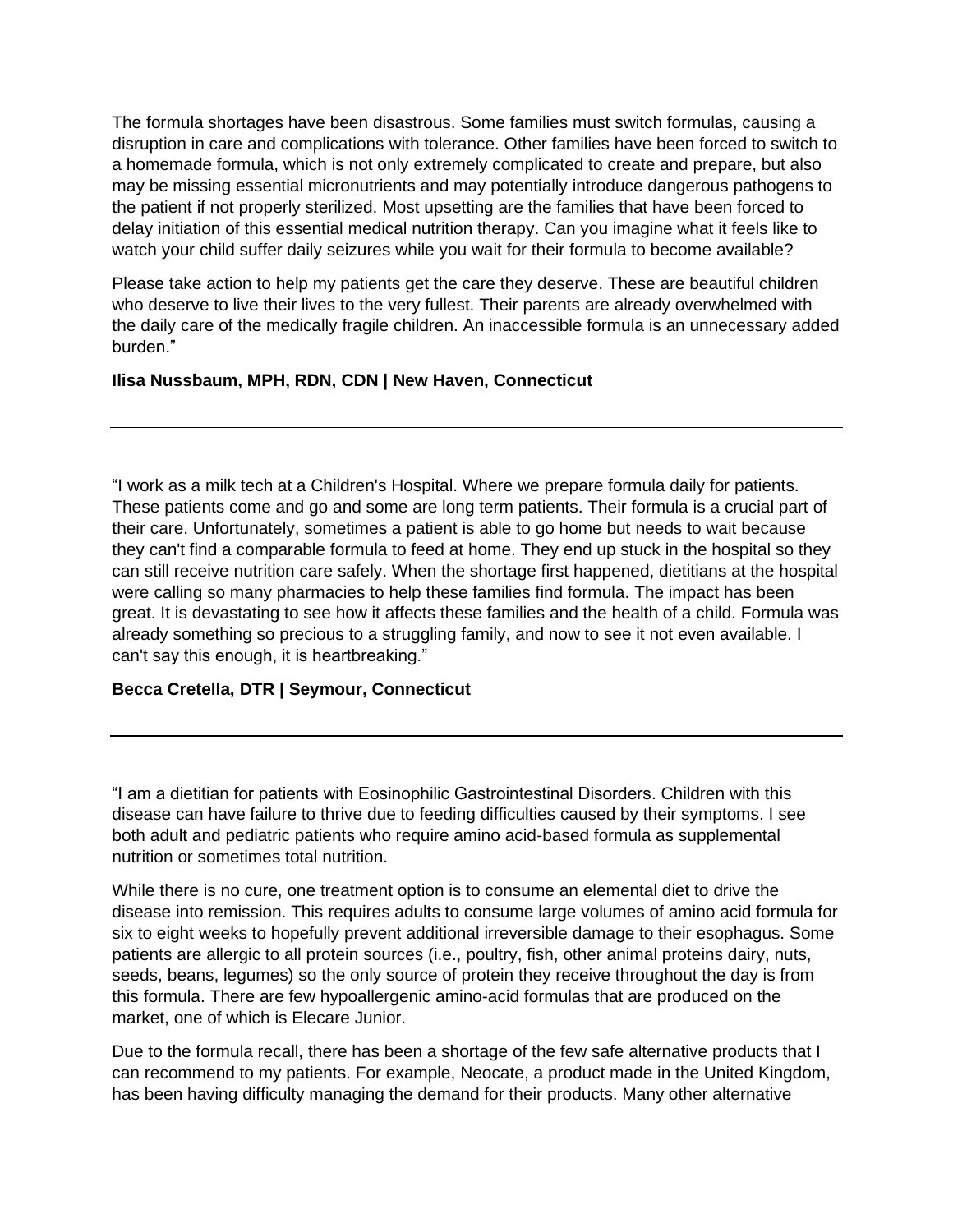The formula shortages have been disastrous. Some families must switch formulas, causing a disruption in care and complications with tolerance. Other families have been forced to switch to a homemade formula, which is not only extremely complicated to create and prepare, but also may be missing essential micronutrients and may potentially introduce dangerous pathogens to the patient if not properly sterilized. Most upsetting are the families that have been forced to delay initiation of this essential medical nutrition therapy. Can you imagine what it feels like to watch your child suffer daily seizures while you wait for their formula to become available?

Please take action to help my patients get the care they deserve. These are beautiful children who deserve to live their lives to the very fullest. Their parents are already overwhelmed with the daily care of the medically fragile children. An inaccessible formula is an unnecessary added burden<sup>"</sup>

#### **Ilisa Nussbaum, MPH, RDN, CDN | New Haven, Connecticut**

"I work as a milk tech at a Children's Hospital. Where we prepare formula daily for patients. These patients come and go and some are long term patients. Their formula is a crucial part of their care. Unfortunately, sometimes a patient is able to go home but needs to wait because they can't find a comparable formula to feed at home. They end up stuck in the hospital so they can still receive nutrition care safely. When the shortage first happened, dietitians at the hospital were calling so many pharmacies to help these families find formula. The impact has been great. It is devastating to see how it affects these families and the health of a child. Formula was already something so precious to a struggling family, and now to see it not even available. I can't say this enough, it is heartbreaking."

#### **Becca Cretella, DTR | Seymour, Connecticut**

"I am a dietitian for patients with Eosinophilic Gastrointestinal Disorders. Children with this disease can have failure to thrive due to feeding difficulties caused by their symptoms. I see both adult and pediatric patients who require amino acid-based formula as supplemental nutrition or sometimes total nutrition.

While there is no cure, one treatment option is to consume an elemental diet to drive the disease into remission. This requires adults to consume large volumes of amino acid formula for six to eight weeks to hopefully prevent additional irreversible damage to their esophagus. Some patients are allergic to all protein sources (i.e., poultry, fish, other animal proteins dairy, nuts, seeds, beans, legumes) so the only source of protein they receive throughout the day is from this formula. There are few hypoallergenic amino-acid formulas that are produced on the market, one of which is Elecare Junior.

Due to the formula recall, there has been a shortage of the few safe alternative products that I can recommend to my patients. For example, Neocate, a product made in the United Kingdom, has been having difficulty managing the demand for their products. Many other alternative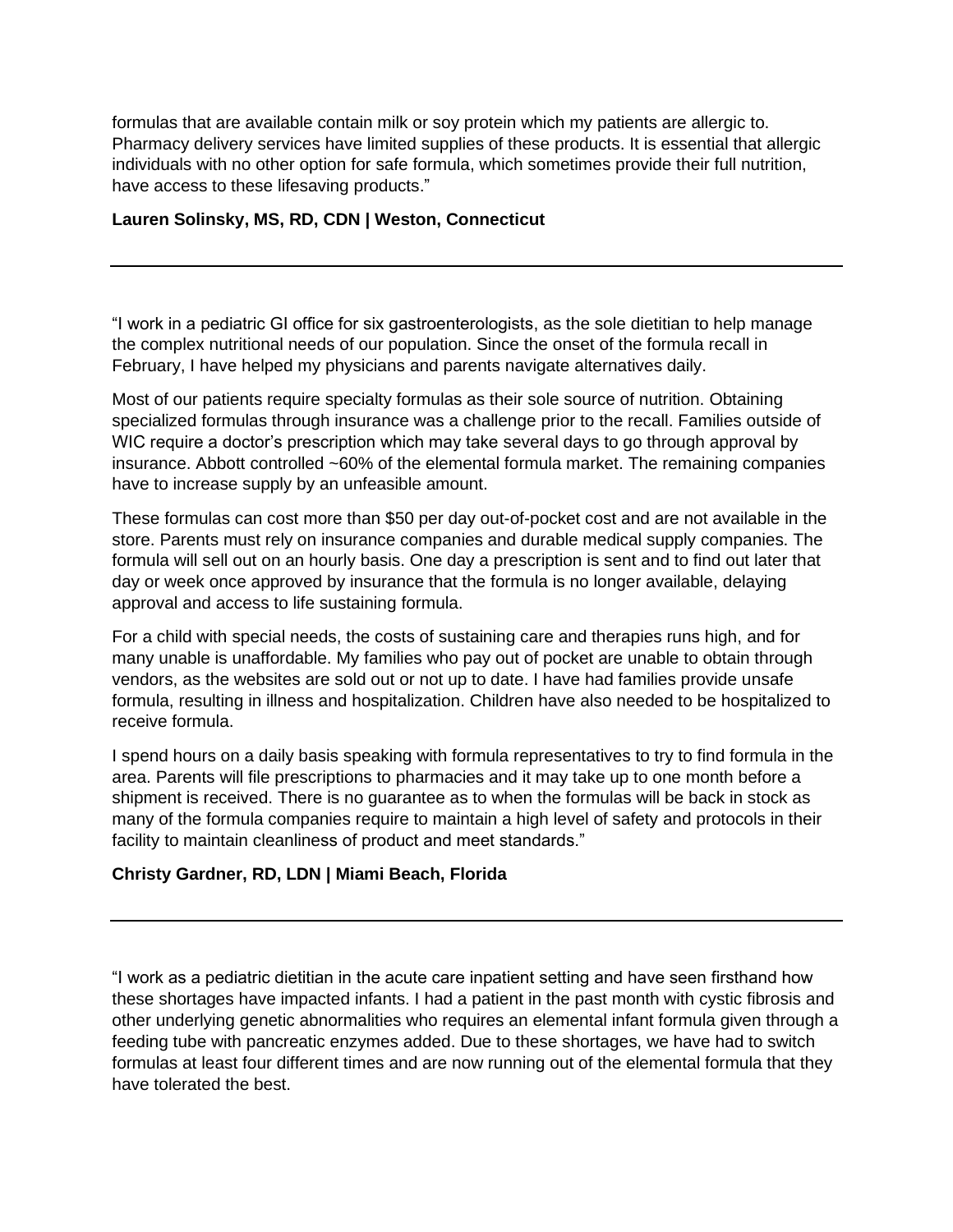formulas that are available contain milk or soy protein which my patients are allergic to. Pharmacy delivery services have limited supplies of these products. It is essential that allergic individuals with no other option for safe formula, which sometimes provide their full nutrition, have access to these lifesaving products."

### **Lauren Solinsky, MS, RD, CDN | Weston, Connecticut**

"I work in a pediatric GI office for six gastroenterologists, as the sole dietitian to help manage the complex nutritional needs of our population. Since the onset of the formula recall in February, I have helped my physicians and parents navigate alternatives daily.

Most of our patients require specialty formulas as their sole source of nutrition. Obtaining specialized formulas through insurance was a challenge prior to the recall. Families outside of WIC require a doctor's prescription which may take several days to go through approval by insurance. Abbott controlled ~60% of the elemental formula market. The remaining companies have to increase supply by an unfeasible amount.

These formulas can cost more than \$50 per day out-of-pocket cost and are not available in the store. Parents must rely on insurance companies and durable medical supply companies. The formula will sell out on an hourly basis. One day a prescription is sent and to find out later that day or week once approved by insurance that the formula is no longer available, delaying approval and access to life sustaining formula.

For a child with special needs, the costs of sustaining care and therapies runs high, and for many unable is unaffordable. My families who pay out of pocket are unable to obtain through vendors, as the websites are sold out or not up to date. I have had families provide unsafe formula, resulting in illness and hospitalization. Children have also needed to be hospitalized to receive formula.

I spend hours on a daily basis speaking with formula representatives to try to find formula in the area. Parents will file prescriptions to pharmacies and it may take up to one month before a shipment is received. There is no guarantee as to when the formulas will be back in stock as many of the formula companies require to maintain a high level of safety and protocols in their facility to maintain cleanliness of product and meet standards."

#### **Christy Gardner, RD, LDN | Miami Beach, Florida**

"I work as a pediatric dietitian in the acute care inpatient setting and have seen firsthand how these shortages have impacted infants. I had a patient in the past month with cystic fibrosis and other underlying genetic abnormalities who requires an elemental infant formula given through a feeding tube with pancreatic enzymes added. Due to these shortages, we have had to switch formulas at least four different times and are now running out of the elemental formula that they have tolerated the best.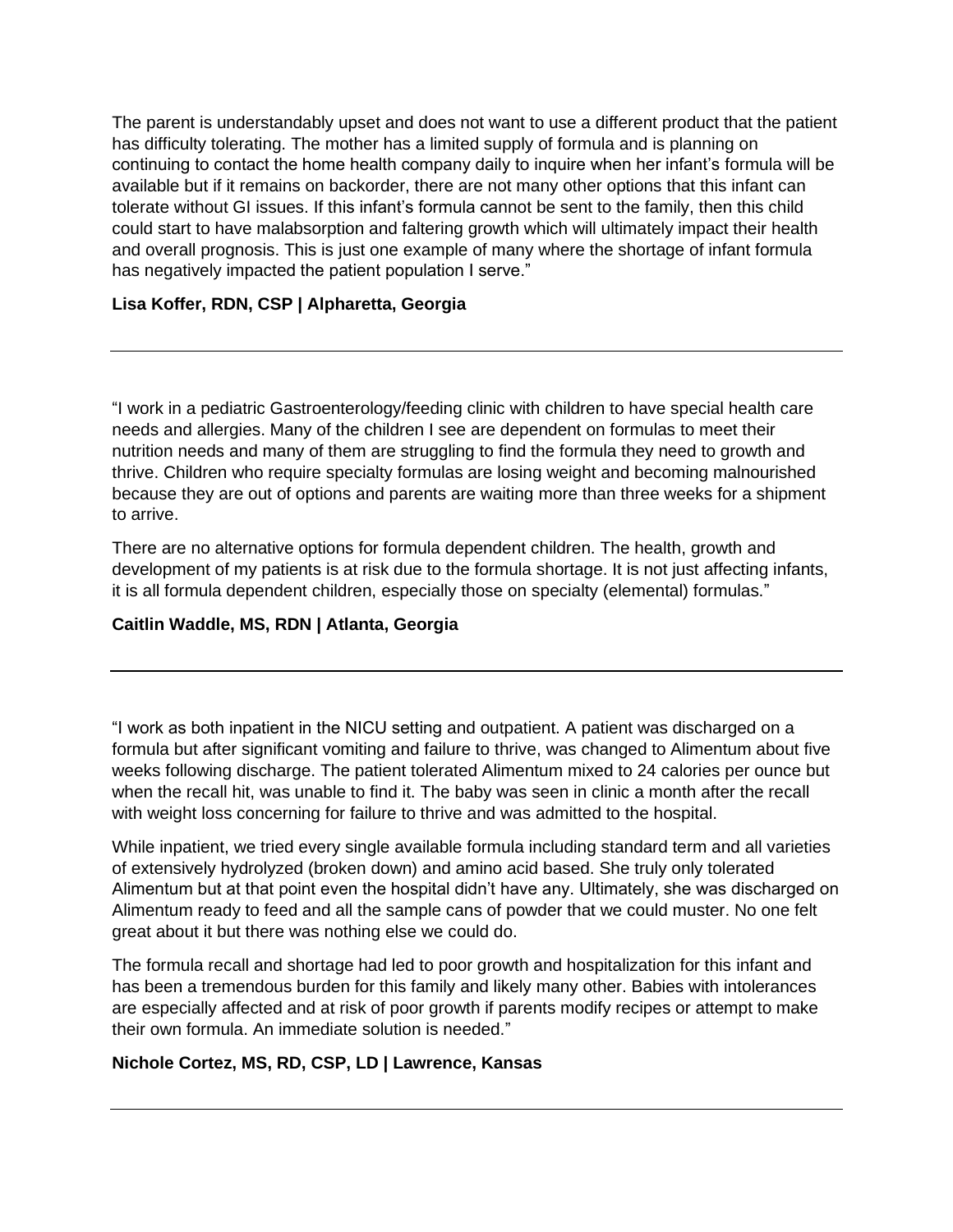The parent is understandably upset and does not want to use a different product that the patient has difficulty tolerating. The mother has a limited supply of formula and is planning on continuing to contact the home health company daily to inquire when her infant's formula will be available but if it remains on backorder, there are not many other options that this infant can tolerate without GI issues. If this infant's formula cannot be sent to the family, then this child could start to have malabsorption and faltering growth which will ultimately impact their health and overall prognosis. This is just one example of many where the shortage of infant formula has negatively impacted the patient population I serve."

## **Lisa Koffer, RDN, CSP | Alpharetta, Georgia**

"I work in a pediatric Gastroenterology/feeding clinic with children to have special health care needs and allergies. Many of the children I see are dependent on formulas to meet their nutrition needs and many of them are struggling to find the formula they need to growth and thrive. Children who require specialty formulas are losing weight and becoming malnourished because they are out of options and parents are waiting more than three weeks for a shipment to arrive.

There are no alternative options for formula dependent children. The health, growth and development of my patients is at risk due to the formula shortage. It is not just affecting infants, it is all formula dependent children, especially those on specialty (elemental) formulas."

### **Caitlin Waddle, MS, RDN | Atlanta, Georgia**

"I work as both inpatient in the NICU setting and outpatient. A patient was discharged on a formula but after significant vomiting and failure to thrive, was changed to Alimentum about five weeks following discharge. The patient tolerated Alimentum mixed to 24 calories per ounce but when the recall hit, was unable to find it. The baby was seen in clinic a month after the recall with weight loss concerning for failure to thrive and was admitted to the hospital.

While inpatient, we tried every single available formula including standard term and all varieties of extensively hydrolyzed (broken down) and amino acid based. She truly only tolerated Alimentum but at that point even the hospital didn't have any. Ultimately, she was discharged on Alimentum ready to feed and all the sample cans of powder that we could muster. No one felt great about it but there was nothing else we could do.

The formula recall and shortage had led to poor growth and hospitalization for this infant and has been a tremendous burden for this family and likely many other. Babies with intolerances are especially affected and at risk of poor growth if parents modify recipes or attempt to make their own formula. An immediate solution is needed."

#### **Nichole Cortez, MS, RD, CSP, LD | Lawrence, Kansas**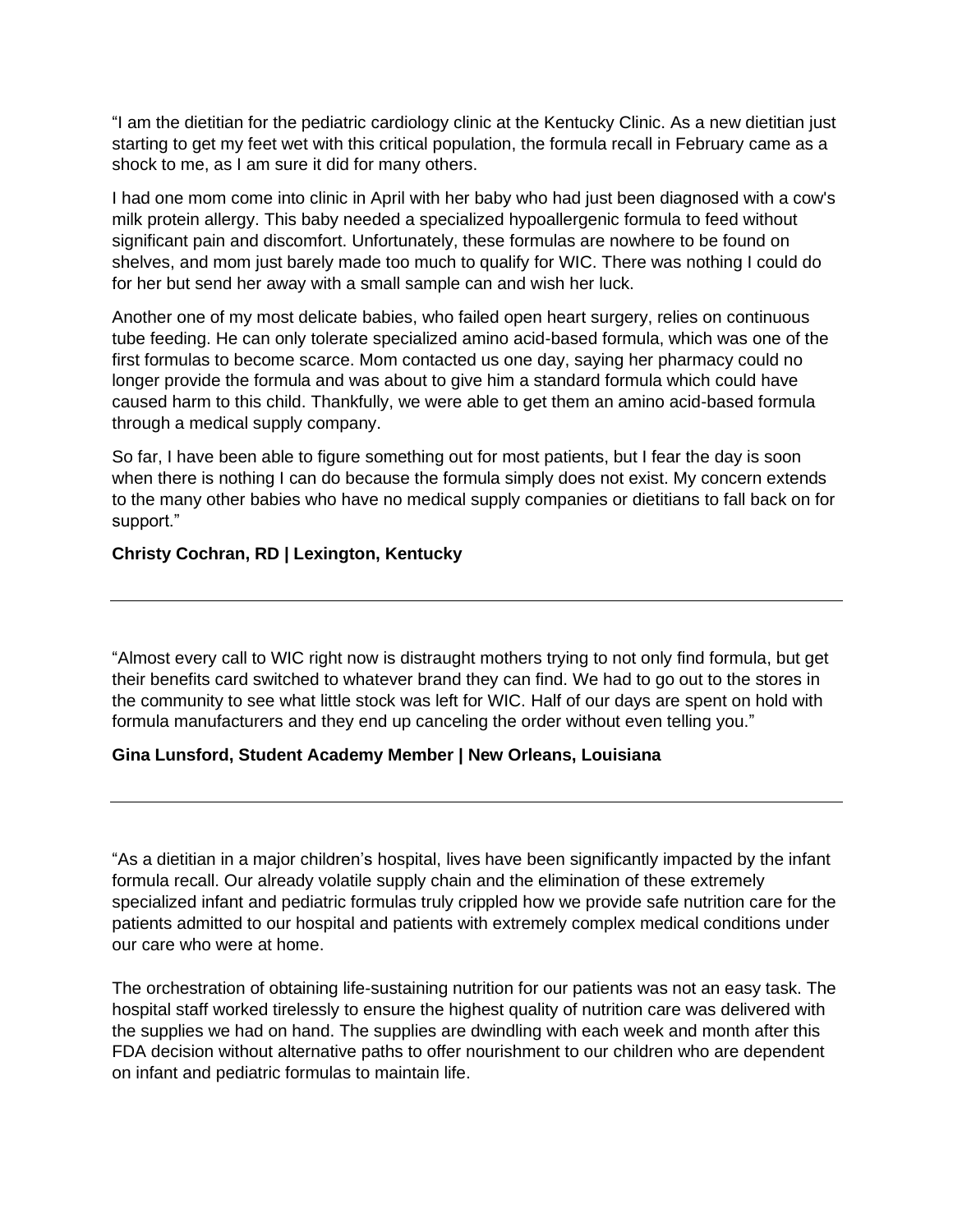"I am the dietitian for the pediatric cardiology clinic at the Kentucky Clinic. As a new dietitian just starting to get my feet wet with this critical population, the formula recall in February came as a shock to me, as I am sure it did for many others.

I had one mom come into clinic in April with her baby who had just been diagnosed with a cow's milk protein allergy. This baby needed a specialized hypoallergenic formula to feed without significant pain and discomfort. Unfortunately, these formulas are nowhere to be found on shelves, and mom just barely made too much to qualify for WIC. There was nothing I could do for her but send her away with a small sample can and wish her luck.

Another one of my most delicate babies, who failed open heart surgery, relies on continuous tube feeding. He can only tolerate specialized amino acid-based formula, which was one of the first formulas to become scarce. Mom contacted us one day, saying her pharmacy could no longer provide the formula and was about to give him a standard formula which could have caused harm to this child. Thankfully, we were able to get them an amino acid-based formula through a medical supply company.

So far, I have been able to figure something out for most patients, but I fear the day is soon when there is nothing I can do because the formula simply does not exist. My concern extends to the many other babies who have no medical supply companies or dietitians to fall back on for support."

#### **Christy Cochran, RD | Lexington, Kentucky**

"Almost every call to WIC right now is distraught mothers trying to not only find formula, but get their benefits card switched to whatever brand they can find. We had to go out to the stores in the community to see what little stock was left for WIC. Half of our days are spent on hold with formula manufacturers and they end up canceling the order without even telling you."

#### **Gina Lunsford, Student Academy Member | New Orleans, Louisiana**

"As a dietitian in a major children's hospital, lives have been significantly impacted by the infant formula recall. Our already volatile supply chain and the elimination of these extremely specialized infant and pediatric formulas truly crippled how we provide safe nutrition care for the patients admitted to our hospital and patients with extremely complex medical conditions under our care who were at home.

The orchestration of obtaining life-sustaining nutrition for our patients was not an easy task. The hospital staff worked tirelessly to ensure the highest quality of nutrition care was delivered with the supplies we had on hand. The supplies are dwindling with each week and month after this FDA decision without alternative paths to offer nourishment to our children who are dependent on infant and pediatric formulas to maintain life.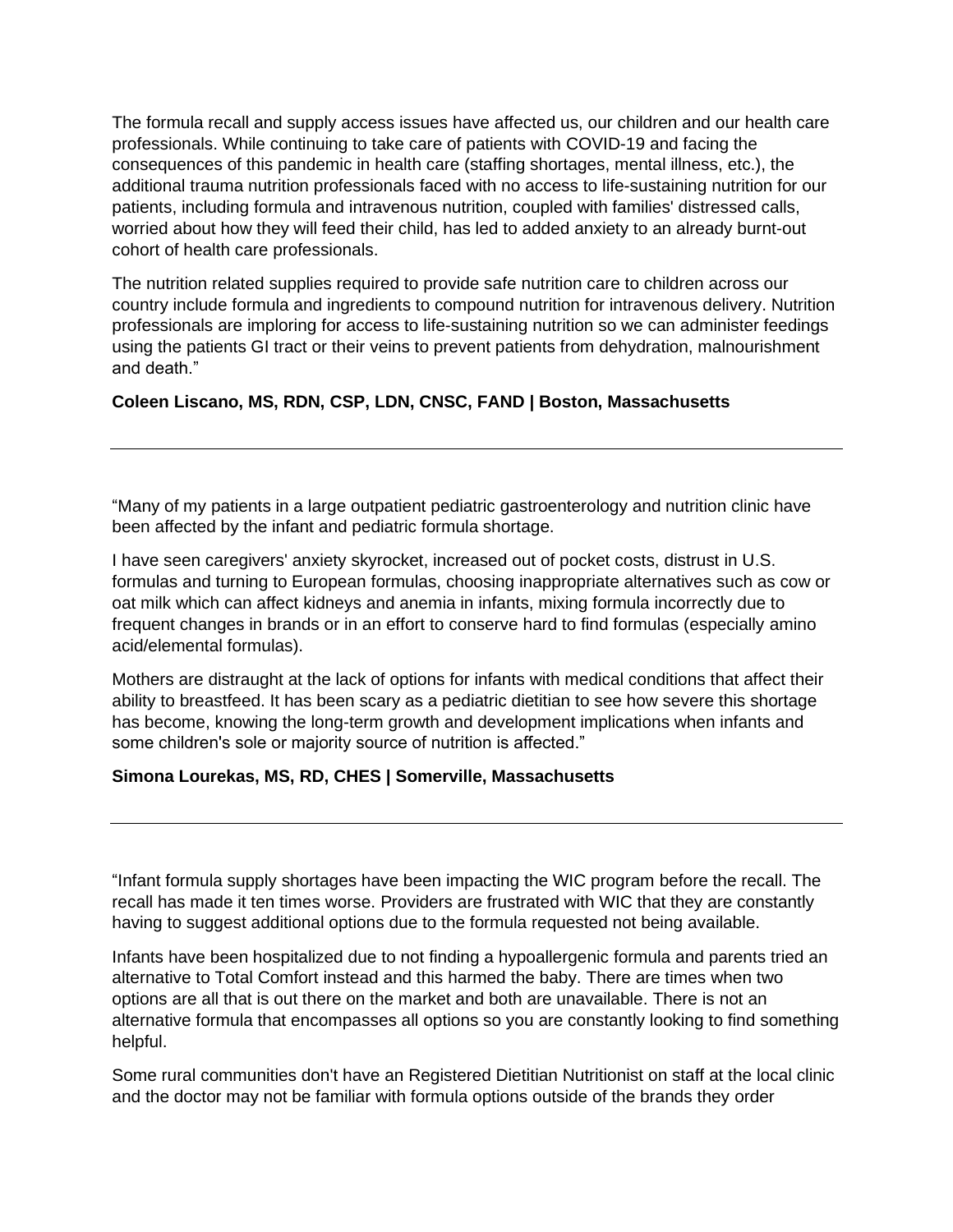The formula recall and supply access issues have affected us, our children and our health care professionals. While continuing to take care of patients with COVID-19 and facing the consequences of this pandemic in health care (staffing shortages, mental illness, etc.), the additional trauma nutrition professionals faced with no access to life-sustaining nutrition for our patients, including formula and intravenous nutrition, coupled with families' distressed calls, worried about how they will feed their child, has led to added anxiety to an already burnt-out cohort of health care professionals.

The nutrition related supplies required to provide safe nutrition care to children across our country include formula and ingredients to compound nutrition for intravenous delivery. Nutrition professionals are imploring for access to life-sustaining nutrition so we can administer feedings using the patients GI tract or their veins to prevent patients from dehydration, malnourishment and death."

## **Coleen Liscano, MS, RDN, CSP, LDN, CNSC, FAND | Boston, Massachusetts**

"Many of my patients in a large outpatient pediatric gastroenterology and nutrition clinic have been affected by the infant and pediatric formula shortage.

I have seen caregivers' anxiety skyrocket, increased out of pocket costs, distrust in U.S. formulas and turning to European formulas, choosing inappropriate alternatives such as cow or oat milk which can affect kidneys and anemia in infants, mixing formula incorrectly due to frequent changes in brands or in an effort to conserve hard to find formulas (especially amino acid/elemental formulas).

Mothers are distraught at the lack of options for infants with medical conditions that affect their ability to breastfeed. It has been scary as a pediatric dietitian to see how severe this shortage has become, knowing the long-term growth and development implications when infants and some children's sole or majority source of nutrition is affected."

#### **Simona Lourekas, MS, RD, CHES | Somerville, Massachusetts**

"Infant formula supply shortages have been impacting the WIC program before the recall. The recall has made it ten times worse. Providers are frustrated with WIC that they are constantly having to suggest additional options due to the formula requested not being available.

Infants have been hospitalized due to not finding a hypoallergenic formula and parents tried an alternative to Total Comfort instead and this harmed the baby. There are times when two options are all that is out there on the market and both are unavailable. There is not an alternative formula that encompasses all options so you are constantly looking to find something helpful.

Some rural communities don't have an Registered Dietitian Nutritionist on staff at the local clinic and the doctor may not be familiar with formula options outside of the brands they order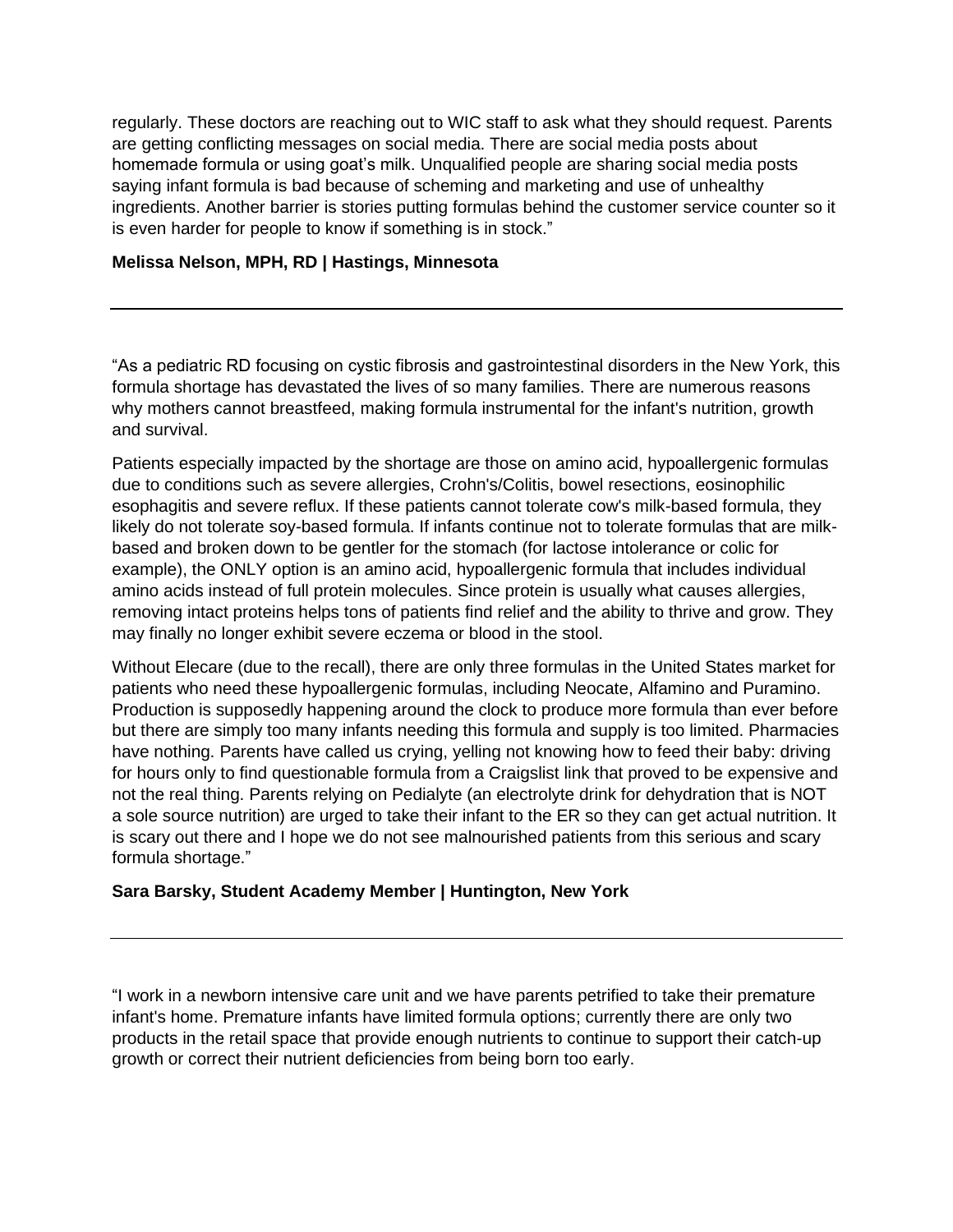regularly. These doctors are reaching out to WIC staff to ask what they should request. Parents are getting conflicting messages on social media. There are social media posts about homemade formula or using goat's milk. Unqualified people are sharing social media posts saying infant formula is bad because of scheming and marketing and use of unhealthy ingredients. Another barrier is stories putting formulas behind the customer service counter so it is even harder for people to know if something is in stock."

### **Melissa Nelson, MPH, RD | Hastings, Minnesota**

"As a pediatric RD focusing on cystic fibrosis and gastrointestinal disorders in the New York, this formula shortage has devastated the lives of so many families. There are numerous reasons why mothers cannot breastfeed, making formula instrumental for the infant's nutrition, growth and survival.

Patients especially impacted by the shortage are those on amino acid, hypoallergenic formulas due to conditions such as severe allergies, Crohn's/Colitis, bowel resections, eosinophilic esophagitis and severe reflux. If these patients cannot tolerate cow's milk-based formula, they likely do not tolerate soy-based formula. If infants continue not to tolerate formulas that are milkbased and broken down to be gentler for the stomach (for lactose intolerance or colic for example), the ONLY option is an amino acid, hypoallergenic formula that includes individual amino acids instead of full protein molecules. Since protein is usually what causes allergies, removing intact proteins helps tons of patients find relief and the ability to thrive and grow. They may finally no longer exhibit severe eczema or blood in the stool.

Without Elecare (due to the recall), there are only three formulas in the United States market for patients who need these hypoallergenic formulas, including Neocate, Alfamino and Puramino. Production is supposedly happening around the clock to produce more formula than ever before but there are simply too many infants needing this formula and supply is too limited. Pharmacies have nothing. Parents have called us crying, yelling not knowing how to feed their baby: driving for hours only to find questionable formula from a Craigslist link that proved to be expensive and not the real thing. Parents relying on Pedialyte (an electrolyte drink for dehydration that is NOT a sole source nutrition) are urged to take their infant to the ER so they can get actual nutrition. It is scary out there and I hope we do not see malnourished patients from this serious and scary formula shortage."

#### **Sara Barsky, Student Academy Member | Huntington, New York**

"I work in a newborn intensive care unit and we have parents petrified to take their premature infant's home. Premature infants have limited formula options; currently there are only two products in the retail space that provide enough nutrients to continue to support their catch-up growth or correct their nutrient deficiencies from being born too early.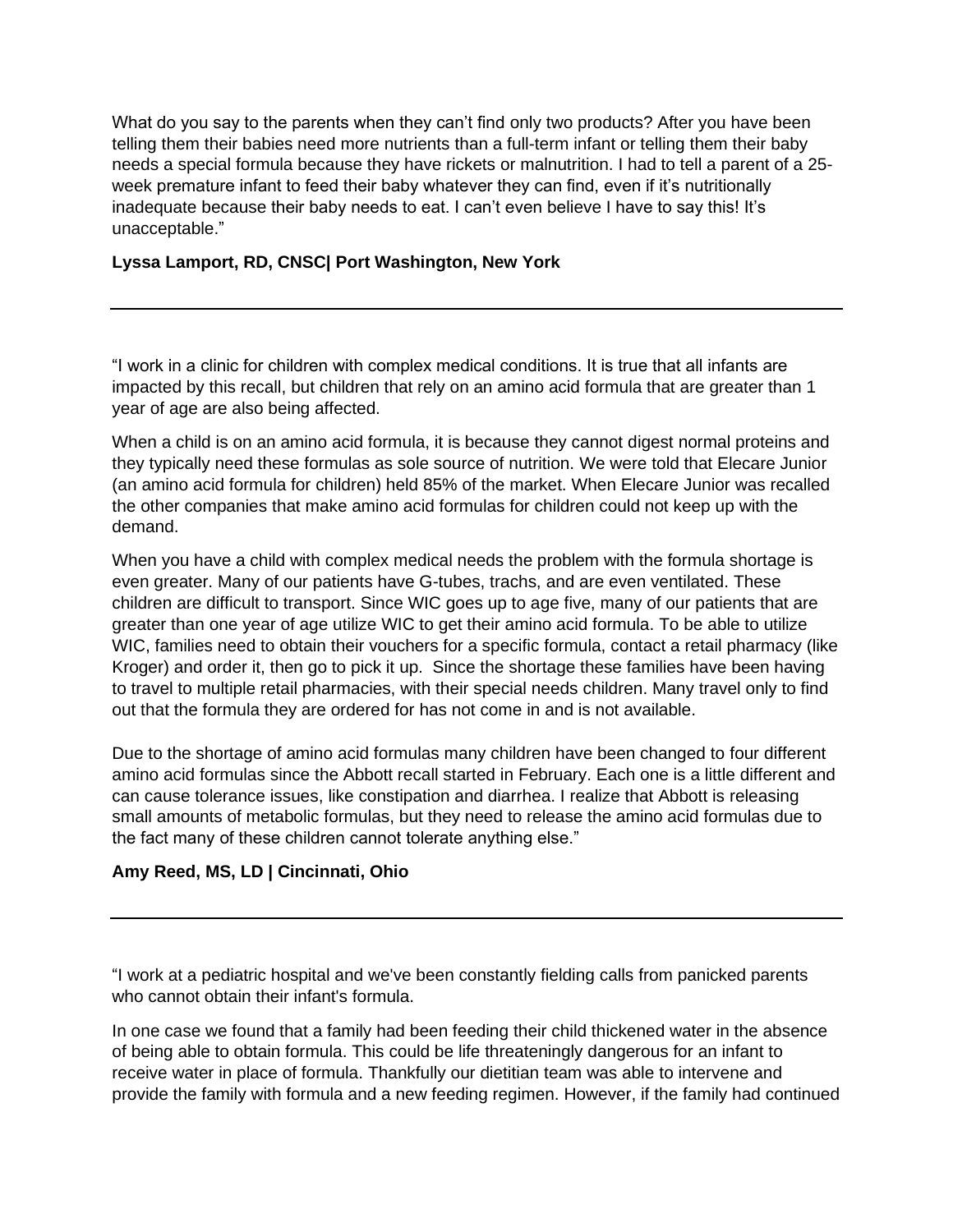What do you say to the parents when they can't find only two products? After you have been telling them their babies need more nutrients than a full-term infant or telling them their baby needs a special formula because they have rickets or malnutrition. I had to tell a parent of a 25 week premature infant to feed their baby whatever they can find, even if it's nutritionally inadequate because their baby needs to eat. I can't even believe I have to say this! It's unacceptable."

## **Lyssa Lamport, RD, CNSC| Port Washington, New York**

"I work in a clinic for children with complex medical conditions. It is true that all infants are impacted by this recall, but children that rely on an amino acid formula that are greater than 1 year of age are also being affected.

When a child is on an amino acid formula, it is because they cannot digest normal proteins and they typically need these formulas as sole source of nutrition. We were told that Elecare Junior (an amino acid formula for children) held 85% of the market. When Elecare Junior was recalled the other companies that make amino acid formulas for children could not keep up with the demand.

When you have a child with complex medical needs the problem with the formula shortage is even greater. Many of our patients have G-tubes, trachs, and are even ventilated. These children are difficult to transport. Since WIC goes up to age five, many of our patients that are greater than one year of age utilize WIC to get their amino acid formula. To be able to utilize WIC, families need to obtain their vouchers for a specific formula, contact a retail pharmacy (like Kroger) and order it, then go to pick it up. Since the shortage these families have been having to travel to multiple retail pharmacies, with their special needs children. Many travel only to find out that the formula they are ordered for has not come in and is not available.

Due to the shortage of amino acid formulas many children have been changed to four different amino acid formulas since the Abbott recall started in February. Each one is a little different and can cause tolerance issues, like constipation and diarrhea. I realize that Abbott is releasing small amounts of metabolic formulas, but they need to release the amino acid formulas due to the fact many of these children cannot tolerate anything else."

#### **Amy Reed, MS, LD | Cincinnati, Ohio**

"I work at a pediatric hospital and we've been constantly fielding calls from panicked parents who cannot obtain their infant's formula.

In one case we found that a family had been feeding their child thickened water in the absence of being able to obtain formula. This could be life threateningly dangerous for an infant to receive water in place of formula. Thankfully our dietitian team was able to intervene and provide the family with formula and a new feeding regimen. However, if the family had continued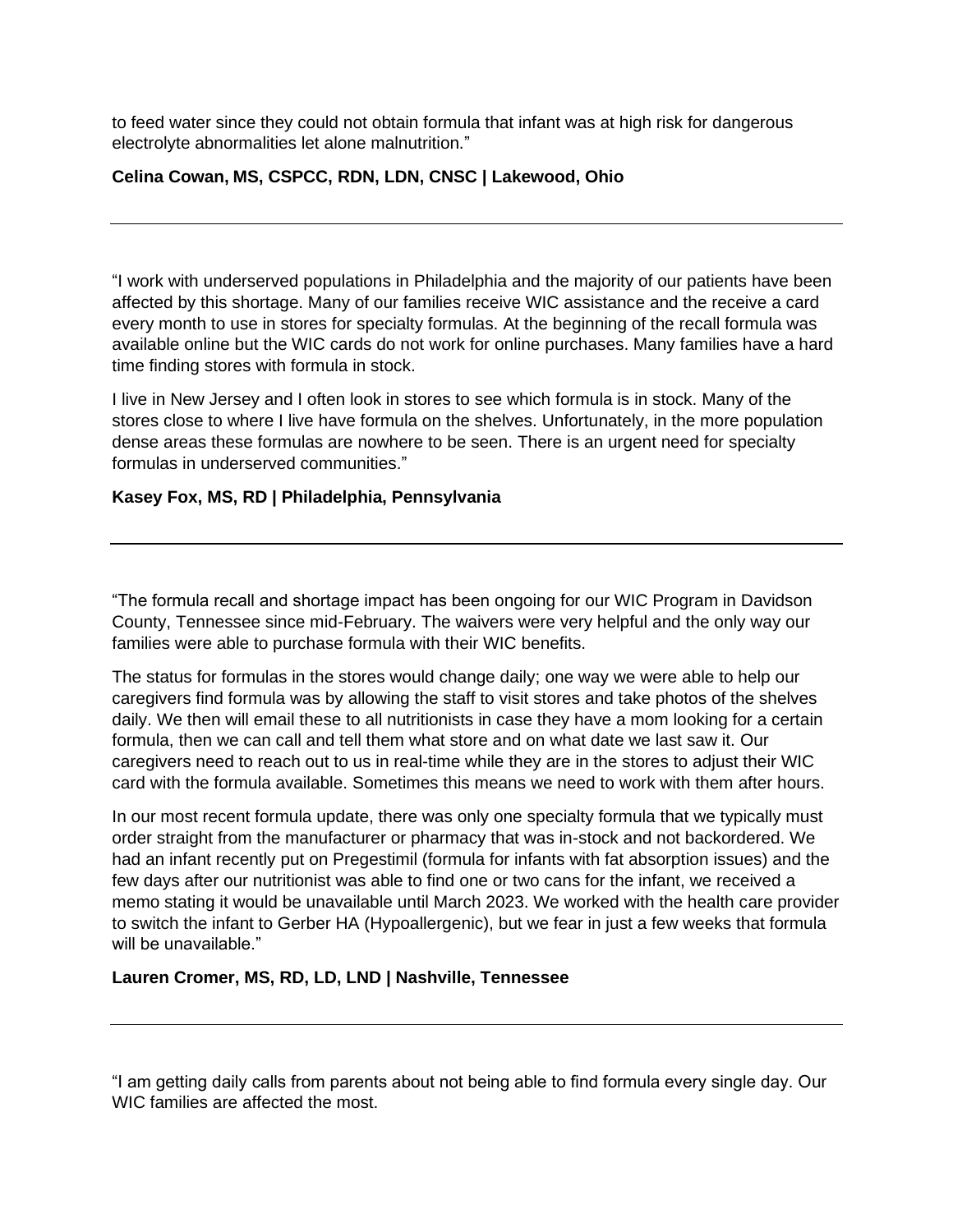to feed water since they could not obtain formula that infant was at high risk for dangerous electrolyte abnormalities let alone malnutrition."

## **Celina Cowan, MS, CSPCC, RDN, LDN, CNSC | Lakewood, Ohio**

"I work with underserved populations in Philadelphia and the majority of our patients have been affected by this shortage. Many of our families receive WIC assistance and the receive a card every month to use in stores for specialty formulas. At the beginning of the recall formula was available online but the WIC cards do not work for online purchases. Many families have a hard time finding stores with formula in stock.

I live in New Jersey and I often look in stores to see which formula is in stock. Many of the stores close to where I live have formula on the shelves. Unfortunately, in the more population dense areas these formulas are nowhere to be seen. There is an urgent need for specialty formulas in underserved communities."

#### **Kasey Fox, MS, RD | Philadelphia, Pennsylvania**

"The formula recall and shortage impact has been ongoing for our WIC Program in Davidson County, Tennessee since mid-February. The waivers were very helpful and the only way our families were able to purchase formula with their WIC benefits.

The status for formulas in the stores would change daily; one way we were able to help our caregivers find formula was by allowing the staff to visit stores and take photos of the shelves daily. We then will email these to all nutritionists in case they have a mom looking for a certain formula, then we can call and tell them what store and on what date we last saw it. Our caregivers need to reach out to us in real-time while they are in the stores to adjust their WIC card with the formula available. Sometimes this means we need to work with them after hours.

In our most recent formula update, there was only one specialty formula that we typically must order straight from the manufacturer or pharmacy that was in-stock and not backordered. We had an infant recently put on Pregestimil (formula for infants with fat absorption issues) and the few days after our nutritionist was able to find one or two cans for the infant, we received a memo stating it would be unavailable until March 2023. We worked with the health care provider to switch the infant to Gerber HA (Hypoallergenic), but we fear in just a few weeks that formula will be unavailable."

#### **Lauren Cromer, MS, RD, LD, LND | Nashville, Tennessee**

"I am getting daily calls from parents about not being able to find formula every single day. Our WIC families are affected the most.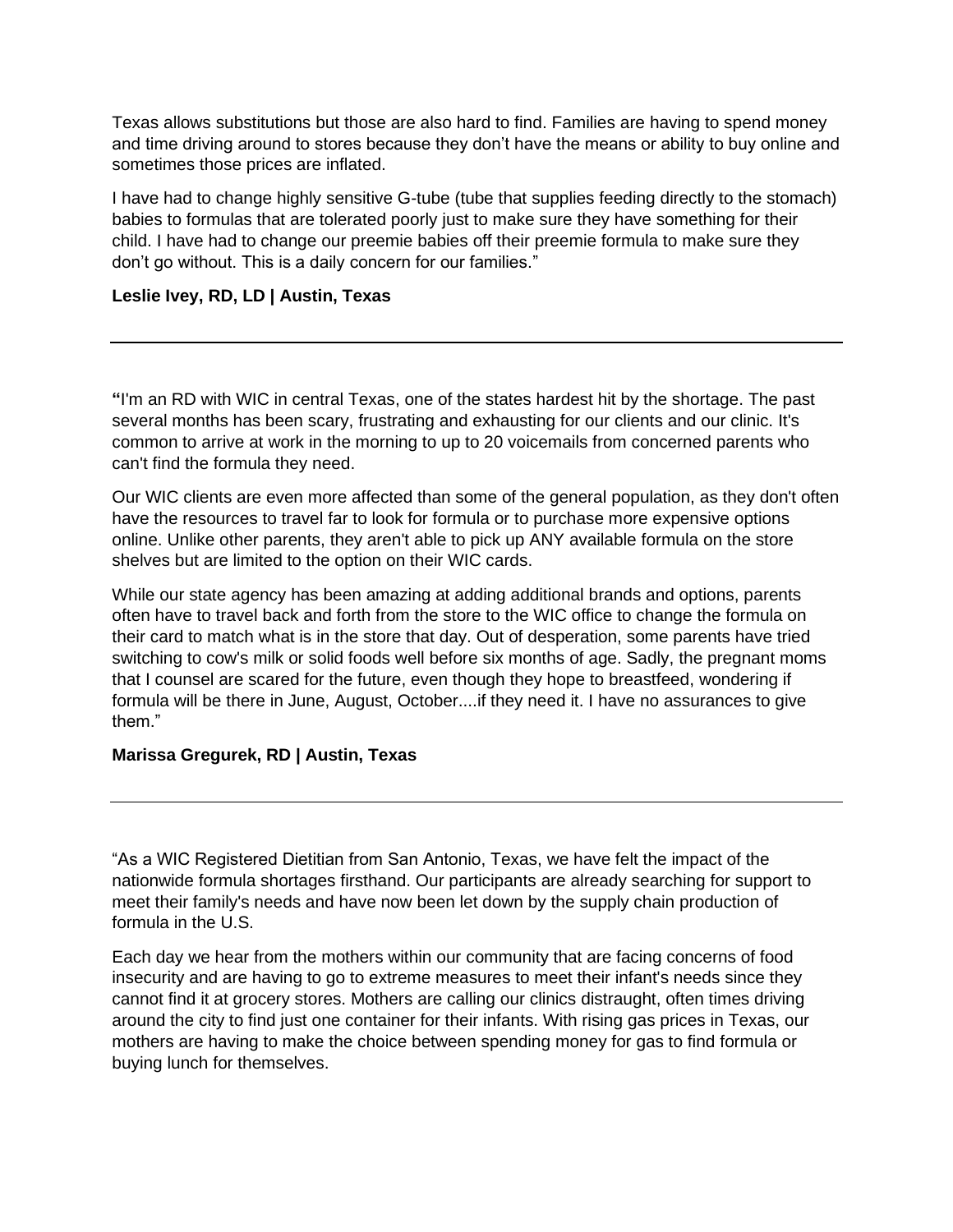Texas allows substitutions but those are also hard to find. Families are having to spend money and time driving around to stores because they don't have the means or ability to buy online and sometimes those prices are inflated.

I have had to change highly sensitive G-tube (tube that supplies feeding directly to the stomach) babies to formulas that are tolerated poorly just to make sure they have something for their child. I have had to change our preemie babies off their preemie formula to make sure they don't go without. This is a daily concern for our families."

### **Leslie Ivey, RD, LD | Austin, Texas**

**"**I'm an RD with WIC in central Texas, one of the states hardest hit by the shortage. The past several months has been scary, frustrating and exhausting for our clients and our clinic. It's common to arrive at work in the morning to up to 20 voicemails from concerned parents who can't find the formula they need.

Our WIC clients are even more affected than some of the general population, as they don't often have the resources to travel far to look for formula or to purchase more expensive options online. Unlike other parents, they aren't able to pick up ANY available formula on the store shelves but are limited to the option on their WIC cards.

While our state agency has been amazing at adding additional brands and options, parents often have to travel back and forth from the store to the WIC office to change the formula on their card to match what is in the store that day. Out of desperation, some parents have tried switching to cow's milk or solid foods well before six months of age. Sadly, the pregnant moms that I counsel are scared for the future, even though they hope to breastfeed, wondering if formula will be there in June, August, October....if they need it. I have no assurances to give them."

#### **Marissa Gregurek, RD | Austin, Texas**

"As a WIC Registered Dietitian from San Antonio, Texas, we have felt the impact of the nationwide formula shortages firsthand. Our participants are already searching for support to meet their family's needs and have now been let down by the supply chain production of formula in the U.S.

Each day we hear from the mothers within our community that are facing concerns of food insecurity and are having to go to extreme measures to meet their infant's needs since they cannot find it at grocery stores. Mothers are calling our clinics distraught, often times driving around the city to find just one container for their infants. With rising gas prices in Texas, our mothers are having to make the choice between spending money for gas to find formula or buying lunch for themselves.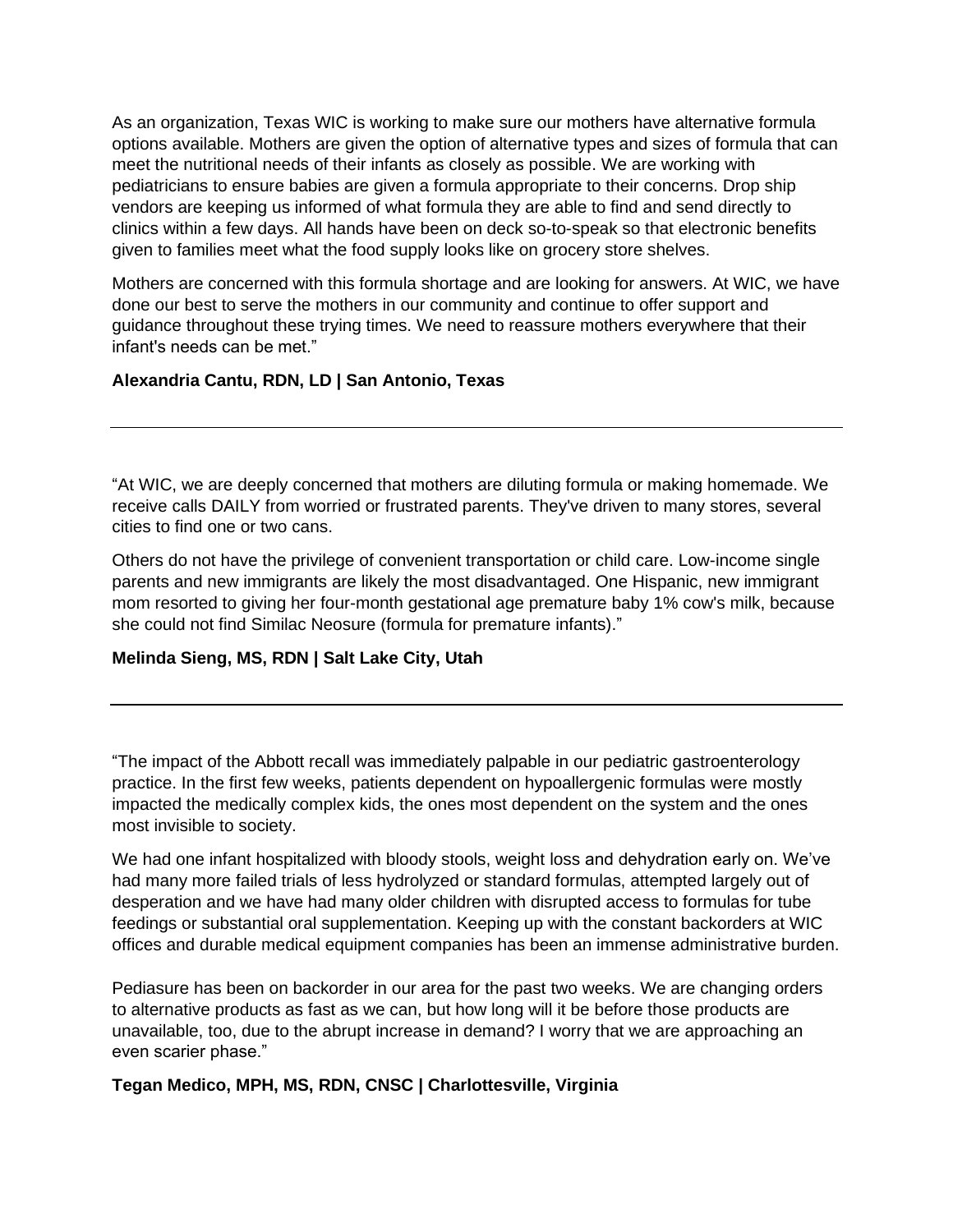As an organization, Texas WIC is working to make sure our mothers have alternative formula options available. Mothers are given the option of alternative types and sizes of formula that can meet the nutritional needs of their infants as closely as possible. We are working with pediatricians to ensure babies are given a formula appropriate to their concerns. Drop ship vendors are keeping us informed of what formula they are able to find and send directly to clinics within a few days. All hands have been on deck so-to-speak so that electronic benefits given to families meet what the food supply looks like on grocery store shelves.

Mothers are concerned with this formula shortage and are looking for answers. At WIC, we have done our best to serve the mothers in our community and continue to offer support and guidance throughout these trying times. We need to reassure mothers everywhere that their infant's needs can be met."

## **Alexandria Cantu, RDN, LD | San Antonio, Texas**

"At WIC, we are deeply concerned that mothers are diluting formula or making homemade. We receive calls DAILY from worried or frustrated parents. They've driven to many stores, several cities to find one or two cans.

Others do not have the privilege of convenient transportation or child care. Low-income single parents and new immigrants are likely the most disadvantaged. One Hispanic, new immigrant mom resorted to giving her four-month gestational age premature baby 1% cow's milk, because she could not find Similac Neosure (formula for premature infants)."

#### **Melinda Sieng, MS, RDN | Salt Lake City, Utah**

"The impact of the Abbott recall was immediately palpable in our pediatric gastroenterology practice. In the first few weeks, patients dependent on hypoallergenic formulas were mostly impacted the medically complex kids, the ones most dependent on the system and the ones most invisible to society.

We had one infant hospitalized with bloody stools, weight loss and dehydration early on. We've had many more failed trials of less hydrolyzed or standard formulas, attempted largely out of desperation and we have had many older children with disrupted access to formulas for tube feedings or substantial oral supplementation. Keeping up with the constant backorders at WIC offices and durable medical equipment companies has been an immense administrative burden.

Pediasure has been on backorder in our area for the past two weeks. We are changing orders to alternative products as fast as we can, but how long will it be before those products are unavailable, too, due to the abrupt increase in demand? I worry that we are approaching an even scarier phase."

**Tegan Medico, MPH, MS, RDN, CNSC | Charlottesville, Virginia**